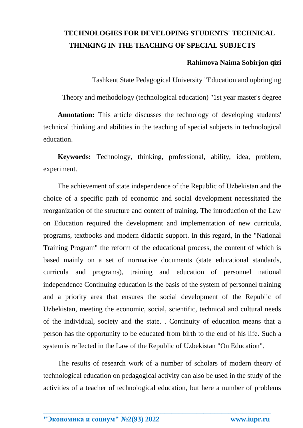## **TECHNOLOGIES FOR DEVELOPING STUDENTS' TECHNICAL THINKING IN THE TEACHING OF SPECIAL SUBJECTS**

#### **Rahimova Naima Sobirjon qizi**

Tashkent State Pedagogical University "Education and upbringing

Theory and methodology (technological education) "1st year master's degree

**Annotation:** This article discusses the technology of developing students' technical thinking and abilities in the teaching of special subjects in technological education.

**Keywords:** Technology, thinking, professional, ability, idea, problem, experiment.

The achievement of state independence of the Republic of Uzbekistan and the choice of a specific path of economic and social development necessitated the reorganization of the structure and content of training. The introduction of the Law on Education required the development and implementation of new curricula, programs, textbooks and modern didactic support. In this regard, in the "National Training Program" the reform of the educational process, the content of which is based mainly on a set of normative documents (state educational standards, curricula and programs), training and education of personnel national independence Continuing education is the basis of the system of personnel training and a priority area that ensures the social development of the Republic of Uzbekistan, meeting the economic, social, scientific, technical and cultural needs of the individual, society and the state. . Continuity of education means that a person has the opportunity to be educated from birth to the end of his life. Such a system is reflected in the Law of the Republic of Uzbekistan "On Education".

The results of research work of a number of scholars of modern theory of technological education on pedagogical activity can also be used in the study of the activities of a teacher of technological education, but here a number of problems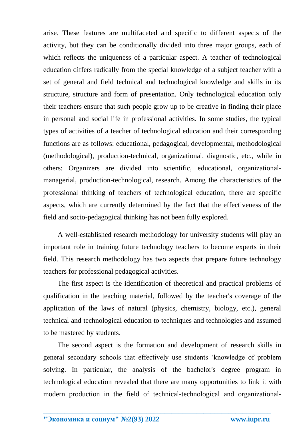arise. These features are multifaceted and specific to different aspects of the activity, but they can be conditionally divided into three major groups, each of which reflects the uniqueness of a particular aspect. A teacher of technological education differs radically from the special knowledge of a subject teacher with a set of general and field technical and technological knowledge and skills in its structure, structure and form of presentation. Only technological education only their teachers ensure that such people grow up to be creative in finding their place in personal and social life in professional activities. In some studies, the typical types of activities of a teacher of technological education and their corresponding functions are as follows: educational, pedagogical, developmental, methodological (methodological), production-technical, organizational, diagnostic, etc., while in others: Organizers are divided into scientific, educational, organizationalmanagerial, production-technological, research. Among the characteristics of the professional thinking of teachers of technological education, there are specific aspects, which are currently determined by the fact that the effectiveness of the field and socio-pedagogical thinking has not been fully explored.

A well-established research methodology for university students will play an important role in training future technology teachers to become experts in their field. This research methodology has two aspects that prepare future technology teachers for professional pedagogical activities.

The first aspect is the identification of theoretical and practical problems of qualification in the teaching material, followed by the teacher's coverage of the application of the laws of natural (physics, chemistry, biology, etc.), general technical and technological education to techniques and technologies and assumed to be mastered by students.

The second aspect is the formation and development of research skills in general secondary schools that effectively use students 'knowledge of problem solving. In particular, the analysis of the bachelor's degree program in technological education revealed that there are many opportunities to link it with modern production in the field of technical-technological and organizational-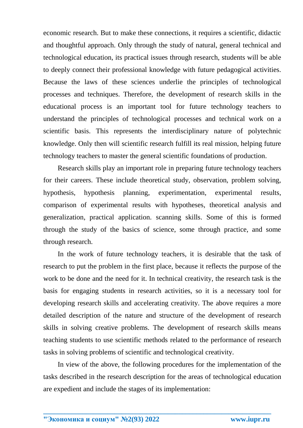economic research. But to make these connections, it requires a scientific, didactic and thoughtful approach. Only through the study of natural, general technical and technological education, its practical issues through research, students will be able to deeply connect their professional knowledge with future pedagogical activities. Because the laws of these sciences underlie the principles of technological processes and techniques. Therefore, the development of research skills in the educational process is an important tool for future technology teachers to understand the principles of technological processes and technical work on a scientific basis. This represents the interdisciplinary nature of polytechnic knowledge. Only then will scientific research fulfill its real mission, helping future technology teachers to master the general scientific foundations of production.

Research skills play an important role in preparing future technology teachers for their careers. These include theoretical study, observation, problem solving, hypothesis, hypothesis planning, experimentation, experimental results, comparison of experimental results with hypotheses, theoretical analysis and generalization, practical application. scanning skills. Some of this is formed through the study of the basics of science, some through practice, and some through research.

In the work of future technology teachers, it is desirable that the task of research to put the problem in the first place, because it reflects the purpose of the work to be done and the need for it. In technical creativity, the research task is the basis for engaging students in research activities, so it is a necessary tool for developing research skills and accelerating creativity. The above requires a more detailed description of the nature and structure of the development of research skills in solving creative problems. The development of research skills means teaching students to use scientific methods related to the performance of research tasks in solving problems of scientific and technological creativity.

In view of the above, the following procedures for the implementation of the tasks described in the research description for the areas of technological education are expedient and include the stages of its implementation: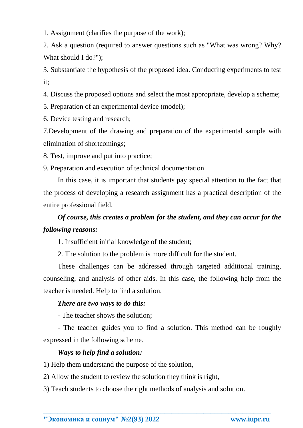1. Assignment (clarifies the purpose of the work);

2. Ask a question (required to answer questions such as "What was wrong? Why? What should I do?");

3. Substantiate the hypothesis of the proposed idea. Conducting experiments to test it;

4. Discuss the proposed options and select the most appropriate, develop a scheme;

5. Preparation of an experimental device (model);

6. Device testing and research;

7.Development of the drawing and preparation of the experimental sample with elimination of shortcomings;

8. Test, improve and put into practice;

9. Preparation and execution of technical documentation.

In this case, it is important that students pay special attention to the fact that the process of developing a research assignment has a practical description of the entire professional field.

# *Of course, this creates a problem for the student, and they can occur for the following reasons:*

1. Insufficient initial knowledge of the student;

2. The solution to the problem is more difficult for the student.

These challenges can be addressed through targeted additional training, counseling, and analysis of other aids. In this case, the following help from the teacher is needed. Help to find a solution.

## *There are two ways to do this:*

- The teacher shows the solution;

- The teacher guides you to find a solution. This method can be roughly expressed in the following scheme.

### *Ways to help find a solution:*

1) Help them understand the purpose of the solution,

2) Allow the student to review the solution they think is right,

3) Teach students to choose the right methods of analysis and solution.